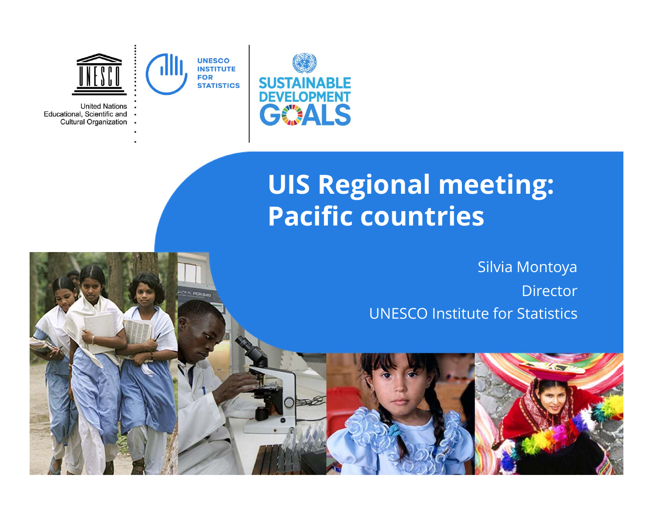

# **UIS Regional meeting: Pacific countries**

UNESCO Institute for Statistics Silvia Montoya **Director** 





Educational, Scientific and **Cultural Organization**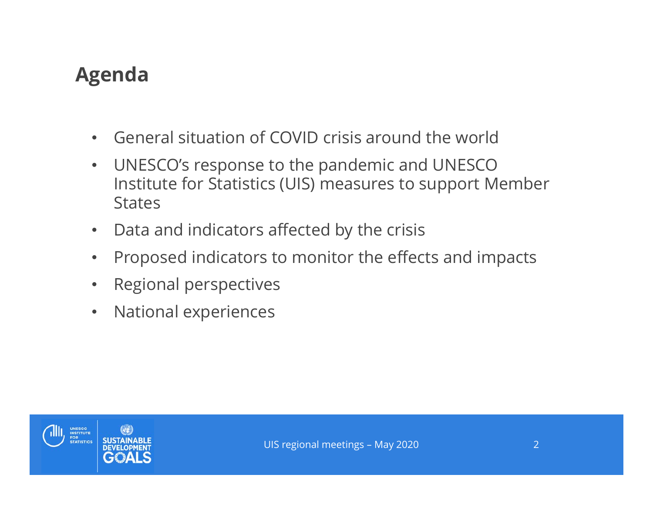## **Agenda**

- $\bullet$ General situation of COVID crisis around the world
- $\bullet$  UNESCO's response to the pandemic and UNESCO Institute for Statistics (UIS) measures to support Member **States**
- $\bullet$ Data and indicators affected by the crisis
- $\bullet$ Proposed indicators to monitor the effects and impacts
- $\bullet$ Regional perspectives
- $\bullet$ National experiences

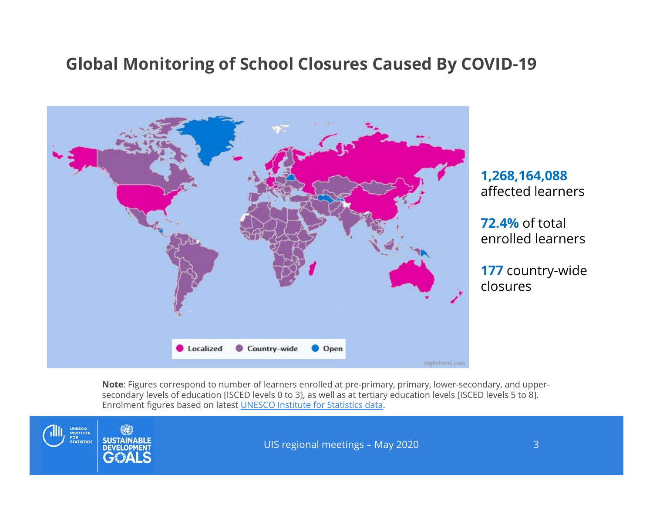#### **Global Monitoring of School Closures Caused By COVID-19**



**1,268,164,088**  affected learners

**72.4%** of total enrolled learners

**177** country-wide closures

**Note**: Figures correspond to number of learners enrolled at pre-primary, primary, lower-secondary, and uppersecondary levels of education [ISCED levels 0 to 3], as well as at tertiary education levels [ISCED levels 5 to 8]. Enrolment figures based on latest UNESCO Institute for Statistics data.

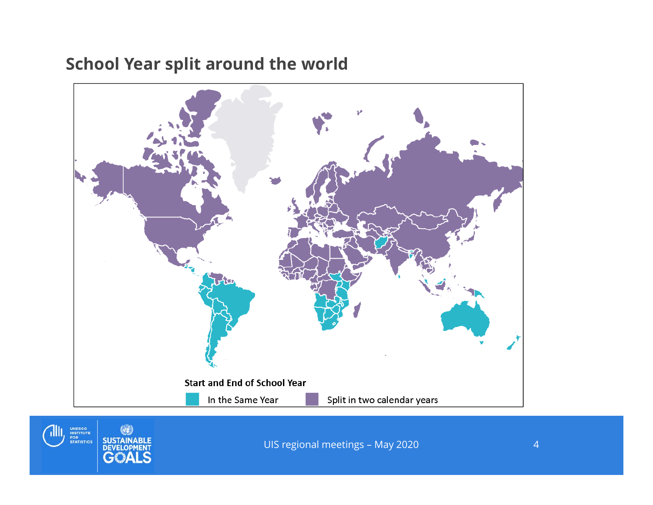## **School Year split around the world**





UIS regional meetings – May 2020 4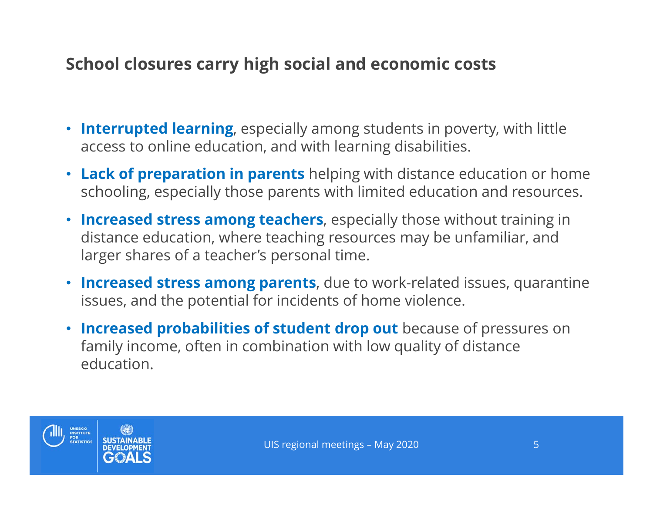## **School closures carry high social and economic costs**

- **Interrupted learning**, especially among students in poverty, with little access to online education, and with learning disabilities.
- **Lack of preparation in parents** helping with distance education or home schooling, especially those parents with limited education and resources.
- **Increased stress among teachers**, especially those without training in distance education, where teaching resources may be unfamiliar, and larger shares of a teacher's personal time.
- **Increased stress among parents**, due to work-related issues, quarantine issues, and the potential for incidents of home violence.
- **Increased probabilities of student drop out** because of pressures on family income, often in combination with low quality of distance education.

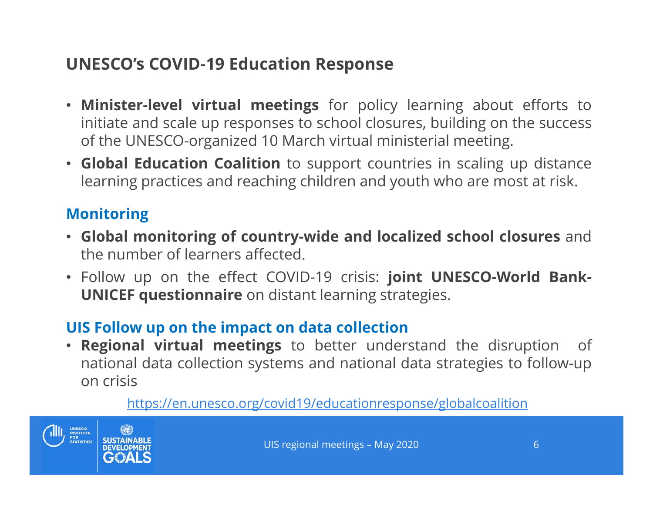## **UNESCO's COVID-19 Education Response**

- **Minister-level virtual meetings** for policy learning about efforts to initiate and scale up responses to school closures, building on the success of the UNESCO-organized 10 March virtual ministerial meeting.
- **Global Education Coalition** to support countries in scaling up distance learning practices and reaching children and youth who are most at risk.

#### **Monitoring**

- **Global monitoring of country-wide and localized school closures** and the number of learners affected.
- Follow up on the effect COVID-19 crisis: **joint UNESCO-World Bank-UNICEF questionnaire** on distant learning strategies.

#### **UIS Follow up on the impact on data collection**

 $\bullet$  **Regional virtual meetings** to better understand the disruption of national data collection systems and national data strategies to follow-up on crisis

#### https://en.unesco.org/covid19/educationresponse/globalcoalition



UIS regional meetings – May 2020 **6** 6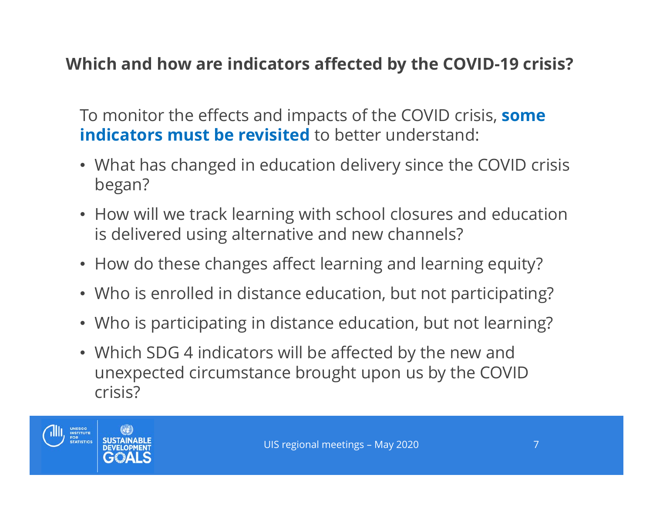## **Which and how are indicators affected by the COVID-19 crisis?**

To monitor the effects and impacts of the COVID crisis, **some indicators must be revisited** to better understand:

- What has changed in education delivery since the COVID crisis began?
- How will we track learning with school closures and education is delivered using alternative and new channels?
- How do these changes affect learning and learning equity?
- Who is enrolled in distance education, but not participating?
- Who is participating in distance education, but not learning?
- Which SDG 4 indicators will be affected by the new and unexpected circumstance brought upon us by the COVID crisis?

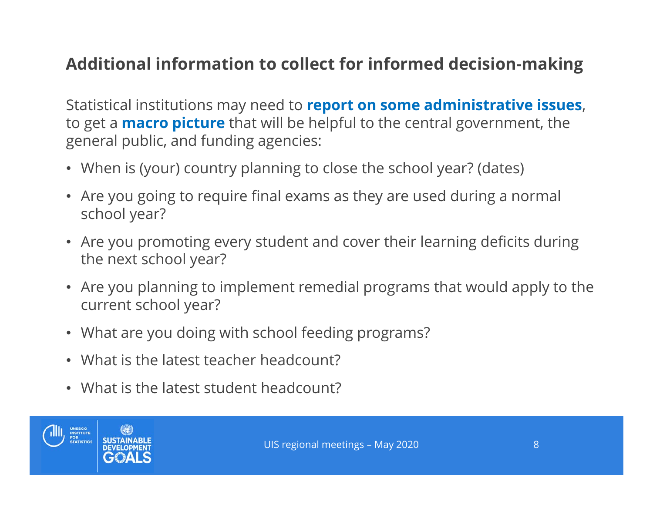## **Additional information to collect for informed decision-making**

Statistical institutions may need to **report on some administrative issues**, to get a **macro picture** that will be helpful to the central government, the general public, and funding agencies:

- When is (your) country planning to close the school year? (dates)
- Are you going to require final exams as they are used during a normal school year?
- Are you promoting every student and cover their learning deficits during the next school year?
- Are you planning to implement remedial programs that would apply to the current school year?
- What are you doing with school feeding programs?
- What is the latest teacher headcount?
- What is the latest student headcount?

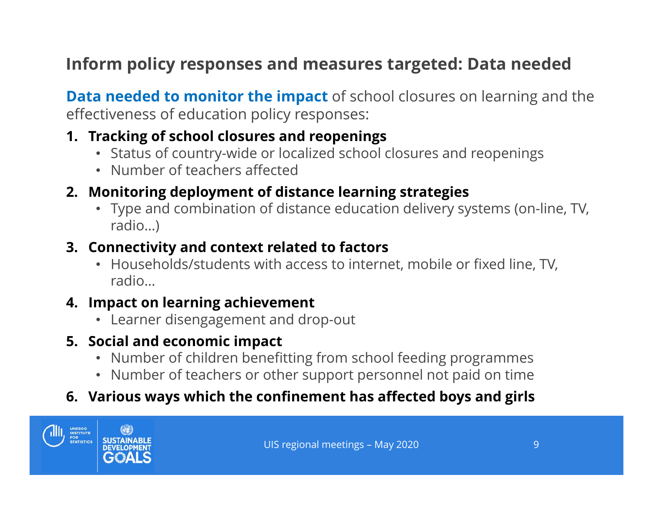## **Inform policy responses and measures targeted: Data needed**

**Data needed to monitor the impact** of school closures on learning and the effectiveness of education policy responses:

#### **1. Tracking of school closures and reopenings**

- Status of country-wide or localized school closures and reopenings
- Number of teachers affected

#### **2. Monitoring deployment of distance learning strategies**

• Type and combination of distance education delivery systems (on-line, TV, radio…)

#### **3. Connectivity and context related to factors**

• Households/students with access to internet, mobile or fixed line, TV, radio…

#### **4. Impact on learning achievement**

• Learner disengagement and drop-out

#### **5. Social and economic impact**

- Number of children benefitting from school feeding programmes
- Number of teachers or other support personnel not paid on time

#### **6. Various ways which the confinement has affected boys and girls**

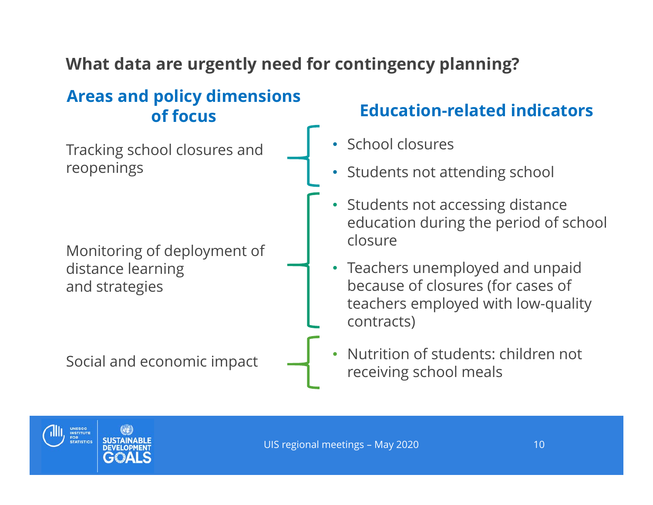## **What data are urgently need for contingency planning?**

### **Areas and policy dimensions of focus**

Tracking school closures and reopenings

Monitoring of deployment of distance learning and strategies

Social and economic impact

## **Education-related indicators**

- •School closures
- Students not attending school
- Students not accessing distance education during the period of school closure
- Teachers unemployed and unpaid because of closures (for cases of teachers employed with low-quality contracts)
- • Nutrition of students: children not receiving school meals

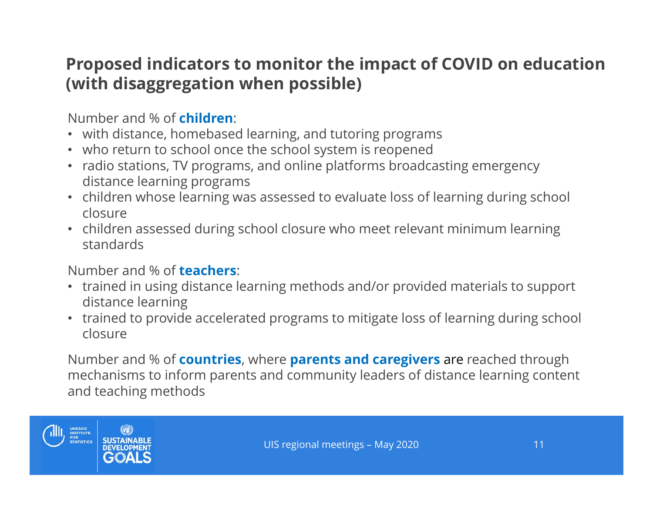## **Proposed indicators to monitor the impact of COVID on education (with disaggregation when possible)**

Number and % of **children**:

- with distance, homebased learning, and tutoring programs
- who return to school once the school system is reopened
- radio stations, TV programs, and online platforms broadcasting emergency distance learning programs
- children whose learning was assessed to evaluate loss of learning during school closure
- children assessed during school closure who meet relevant minimum learning standards

Number and % of **teachers**:

- trained in using distance learning methods and/or provided materials to support distance learning
- trained to provide accelerated programs to mitigate loss of learning during school closure

Number and % of **countries**, where **parents and caregivers** are reached through mechanisms to inform parents and community leaders of distance learning content and teaching methods

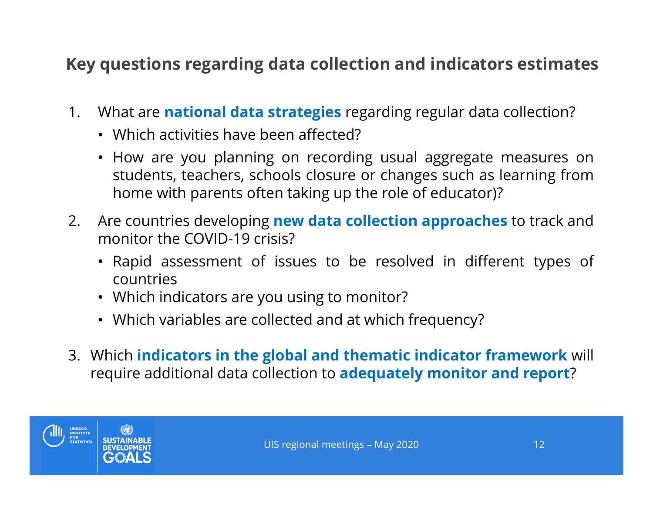## **Key questions regarding data collection and indicators estimates**

- 1. What are **national data strategies** regarding regular data collection?
	- Which activities have been affected?
	- How are you planning on recording usual aggregate measures on students, teachers, schools closure or changes such as learning from home with parents often taking up the role of educator)?
- 2. Are countries developing **new data collection approaches** to track and monitor the COVID-19 crisis?
	- Rapid assessment of issues to be resolved in different types of countries
	- Which indicators are you using to monitor?
	- Which variables are collected and at which frequency?
- 3. Which **indicators in the global and thematic indicator framework** will require additional data collection to **adequately monitor and report**?